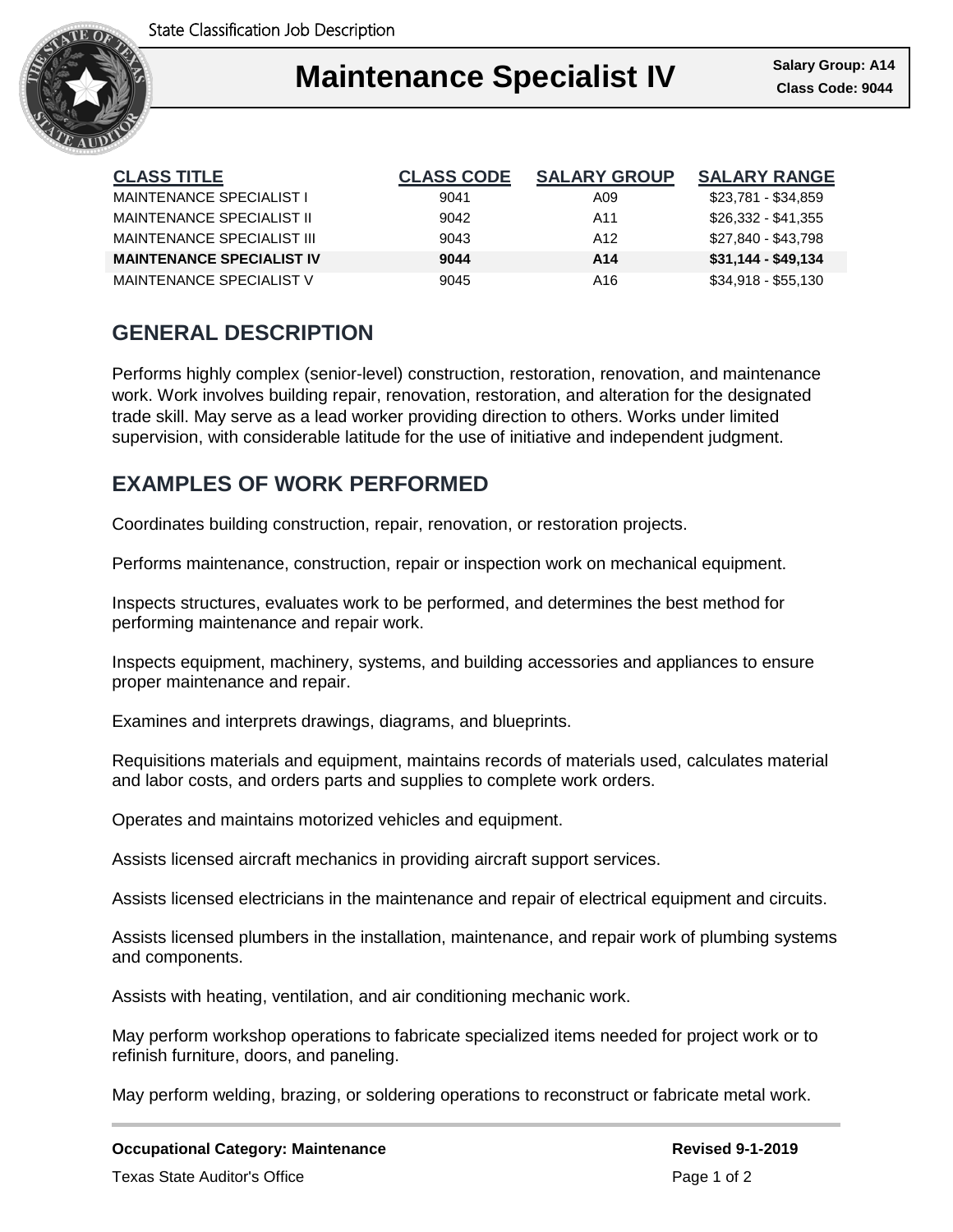

## Ι **Maintenance Specialist IV Class Code: 9044**

| <b>CLASS TITLE</b>               | <b>CLASS CODE</b> | <b>SALARY GROUP</b> | <b>SALARY RANGE</b> |
|----------------------------------|-------------------|---------------------|---------------------|
| MAINTENANCE SPECIALIST I         | 9041              | A09                 | \$23,781 - \$34,859 |
| MAINTENANCE SPECIALIST II        | 9042              | A11                 | \$26,332 - \$41,355 |
| MAINTENANCE SPECIALIST III       | 9043              | A <sub>12</sub>     | \$27,840 - \$43,798 |
| <b>MAINTENANCE SPECIALIST IV</b> | 9044              | A14                 | $$31,144 - $49,134$ |
| MAINTENANCE SPECIALIST V         | 9045              | A16                 | \$34,918 - \$55,130 |

# **GENERAL DESCRIPTION**

Performs highly complex (senior-level) construction, restoration, renovation, and maintenance work. Work involves building repair, renovation, restoration, and alteration for the designated trade skill. May serve as a lead worker providing direction to others. Works under limited supervision, with considerable latitude for the use of initiative and independent judgment.

## **EXAMPLES OF WORK PERFORMED**

Coordinates building construction, repair, renovation, or restoration projects.

Performs maintenance, construction, repair or inspection work on mechanical equipment.

Inspects structures, evaluates work to be performed, and determines the best method for performing maintenance and repair work.

Inspects equipment, machinery, systems, and building accessories and appliances to ensure proper maintenance and repair.

Examines and interprets drawings, diagrams, and blueprints.

Requisitions materials and equipment, maintains records of materials used, calculates material and labor costs, and orders parts and supplies to complete work orders.

Operates and maintains motorized vehicles and equipment.

Assists licensed aircraft mechanics in providing aircraft support services.

Assists licensed electricians in the maintenance and repair of electrical equipment and circuits.

Assists licensed plumbers in the installation, maintenance, and repair work of plumbing systems and components.

Assists with heating, ventilation, and air conditioning mechanic work.

May perform workshop operations to fabricate specialized items needed for project work or to refinish furniture, doors, and paneling.

May perform welding, brazing, or soldering operations to reconstruct or fabricate metal work.